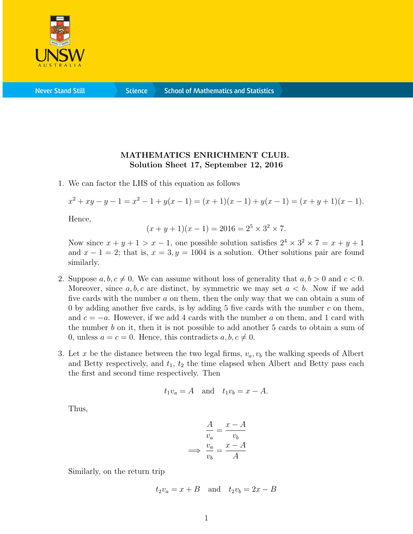

**Science** 

## MATHEMATICS ENRICHMENT CLUB. Solution Sheet 17, September 12, 2016

1. We can factor the LHS of this equation as follows

$$
x^{2} + xy - y - 1 = x^{2} - 1 + y(x - 1) = (x + 1)(x - 1) + y(x - 1) = (x + y + 1)(x - 1).
$$

Hence,

$$
(x + y + 1)(x - 1) = 2016 = 25 \times 32 \times 7.
$$

Now since  $x + y + 1 > x - 1$ , one possible solution satisfies  $2^4 \times 3^2 \times 7 = x + y + 1$ and  $x - 1 = 2$ ; that is,  $x = 3, y = 1004$  is a solution. Other solutions pair are found similarly.

- 2. Suppose  $a, b, c \neq 0$ . We can assume without loss of generality that  $a, b > 0$  and  $c < 0$ . Moreover, since  $a, b, c$  are distinct, by symmetric we may set  $a < b$ . Now if we add five cards with the number a on them, then the only way that we can obtain a sum of 0 by adding another five cards, is by adding 5 five cards with the number  $c$  on them, and  $c = -a$ . However, if we add 4 cards with the number a on them, and 1 card with the number b on it, then it is not possible to add another 5 cards to obtain a sum of 0, unless  $a = c = 0$ . Hence, this contradicts  $a, b, c \neq 0$ .
- 3. Let x be the distance between the two legal firms,  $v_a, v_b$  the walking speeds of Albert and Betty respectively, and  $t_1$ ,  $t_2$  the time elapsed when Albert and Betty pass each the first and second time respectively. Then

$$
t_1v_a = A \quad \text{and} \quad t_1v_b = x - A.
$$

Thus,

$$
\frac{A}{v_a} = \frac{x - A}{v_b}
$$

$$
\implies \frac{v_a}{v_b} = \frac{x - A}{A}
$$

Similarly, on the return trip

$$
t_2v_a = x + B \quad \text{and} \quad t_2v_b = 2x - B
$$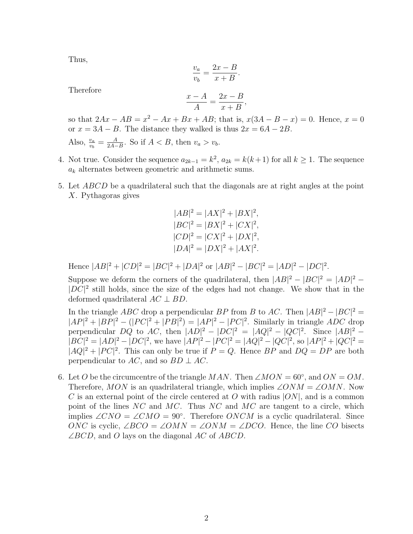Thus,

$$
\frac{v_a}{v_b} = \frac{2x - B}{x + B}.
$$

Therefore

$$
\frac{x-A}{A} = \frac{2x-B}{x+B},
$$

so that  $2Ax - AB = x^2 - Ax + Bx + AB$ ; that is,  $x(3A - B - x) = 0$ . Hence,  $x = 0$ or  $x = 3A - B$ . The distance they walked is thus  $2x = 6A - 2B$ .

Also,  $\frac{v_a}{v_b} = \frac{A}{2A-}$  $\frac{A}{2A-B}$ . So if  $A < B$ , then  $v_a > v_b$ .

- 4. Not true. Consider the sequence  $a_{2k-1} = k^2$ ,  $a_{2k} = k(k+1)$  for all  $k \ge 1$ . The sequence  $a_k$  alternates between geometric and arithmetic sums.
- 5. Let ABCD be a quadrilateral such that the diagonals are at right angles at the point X. Pythagoras gives

$$
|AB|^2 = |AX|^2 + |BX|^2,
$$
  
\n
$$
|BC|^2 = |BX|^2 + |CX|^2,
$$
  
\n
$$
|CD|^2 = |CX|^2 + |DX|^2,
$$
  
\n
$$
|DA|^2 = |DX|^2 + |AX|^2.
$$

Hence  $|AB|^2 + |CD|^2 = |BC|^2 + |DA|^2$  or  $|AB|^2 - |BC|^2 = |AD|^2 - |DC|^2$ .

Suppose we deform the corners of the quadrilateral, then  $|AB|^2 - |BC|^2 = |AD|^2 |DC|^2$  still holds, since the size of the edges had not change. We show that in the deformed quadrilateral  $AC \perp BD$ .

In the triangle ABC drop a perpendicular BP from B to AC. Then  $|AB|^2 - |BC|^2 =$  $|AP|^2 + |BP|^2 - (|PC|^2 + |PB|^2) = |AP|^2 - |PC|^2$ . Similarly in triangle *ADC* drop perpendicular DQ to AC, then  $|AD|^2 - |DC|^2 = |AQ|^2 - |QC|^2$ . Since  $|AB|^2 |BC|^2 = |AD|^2 - |DC|^2$ , we have  $|AP|^2 - |PC|^2 = |AQ|^2 - |QC|^2$ , so  $|AP|^2 + |QC|^2 =$  $|AQ|^2 + |PC|^2$ . This can only be true if  $P = Q$ . Hence BP and  $DQ = DP$  are both perpendicular to AC, and so  $BD \perp AC$ .

6. Let O be the circumcentre of the triangle MAN. Then  $\angle MON = 60^\circ$ , and  $ON = OM$ . Therefore, MON is an quadrilateral triangle, which implies  $\angle ONM = \angle OMN$ . Now C is an external point of the circle centered at O with radius  $|ON|$ , and is a common point of the lines  $NC$  and  $MC$ . Thus  $NC$  and  $MC$  are tangent to a circle, which implies  $\angle CNO = \angle CMO = 90^{\circ}$ . Therefore ONCM is a cyclic quadrilateral. Since ONC is cyclic,  $\angle BCO = \angle OMN = \angle ONM = \angle DCO$ . Hence, the line CO bisects  $\angle BCD$ , and O lays on the diagonal AC of ABCD.